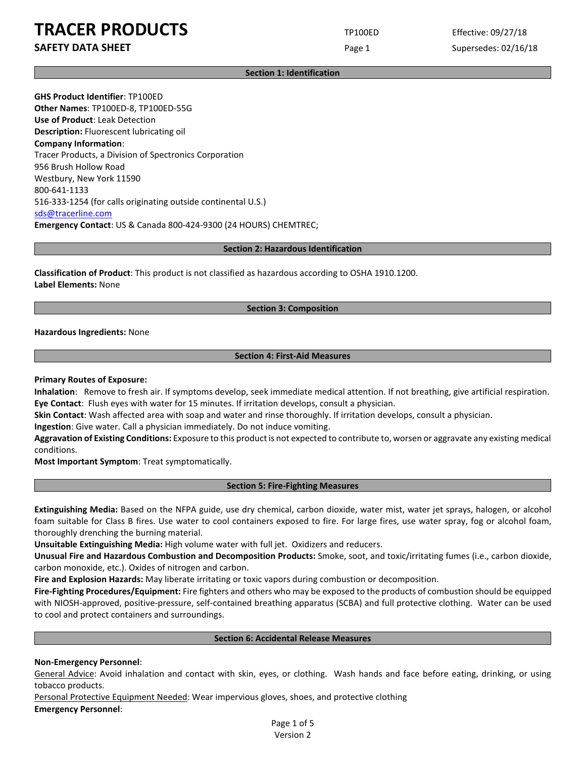**SAFETY DATA SHEET** SUPERFOUR CONSUMING THE Page 1 Supersedes: 02/16/18

#### **Section 1: Identification**

**GHS Product Identifier**: TP100ED **Other Names**: TP100ED-8, TP100ED-55G **Use of Product**: Leak Detection **Description:** Fluorescent lubricating oil **Company Information**: Tracer Products, a Division of Spectronics Corporation 956 Brush Hollow Road Westbury, New York 11590 800-641-1133 516-333-1254 (for calls originating outside continental U.S.) [sds@tracerline.com](mailto:sds@tracerline.com) **Emergency Contact**: US & Canada 800-424-9300 (24 HOURS) CHEMTREC;

#### **Section 2: Hazardous Identification**

**Classification of Product**: This product is not classified as hazardous according to OSHA 1910.1200. **Label Elements:** None

### **Section 3: Composition**

**Hazardous Ingredients:** None

### **Section 4: First-Aid Measures**

#### **Primary Routes of Exposure:**

**Inhalation**: Remove to fresh air. If symptoms develop, seek immediate medical attention. If not breathing, give artificial respiration. **Eye Contact**: Flush eyes with water for 15 minutes. If irritation develops, consult a physician.

**Skin Contact**: Wash affected area with soap and water and rinse thoroughly. If irritation develops, consult a physician.

**Ingestion**: Give water. Call a physician immediately. Do not induce vomiting.

**Aggravation of Existing Conditions:** Exposure to this product is not expected to contribute to, worsen or aggravate any existing medical conditions.

**Most Important Symptom**: Treat symptomatically.

## **Section 5: Fire-Fighting Measures**

**Extinguishing Media:** Based on the NFPA guide, use dry chemical, carbon dioxide, water mist, water jet sprays, halogen, or alcohol foam suitable for Class B fires. Use water to cool containers exposed to fire. For large fires, use water spray, fog or alcohol foam, thoroughly drenching the burning material.

**Unsuitable Extinguishing Media:** High volume water with full jet. Oxidizers and reducers.

**Unusual Fire and Hazardous Combustion and Decomposition Products:** Smoke, soot, and toxic/irritating fumes (i.e., carbon dioxide, carbon monoxide, etc.). Oxides of nitrogen and carbon.

**Fire and Explosion Hazards:** May liberate irritating or toxic vapors during combustion or decomposition.

**Fire-Fighting Procedures/Equipment:** Fire fighters and others who may be exposed to the products of combustion should be equipped with NIOSH-approved, positive-pressure, self-contained breathing apparatus (SCBA) and full protective clothing. Water can be used to cool and protect containers and surroundings.

#### **Section 6: Accidental Release Measures**

### **Non-Emergency Personnel**:

General Advice: Avoid inhalation and contact with skin, eyes, or clothing. Wash hands and face before eating, drinking, or using tobacco products.

Personal Protective Equipment Needed: Wear impervious gloves, shoes, and protective clothing **Emergency Personnel**:

> Page 1 of 5 Version 2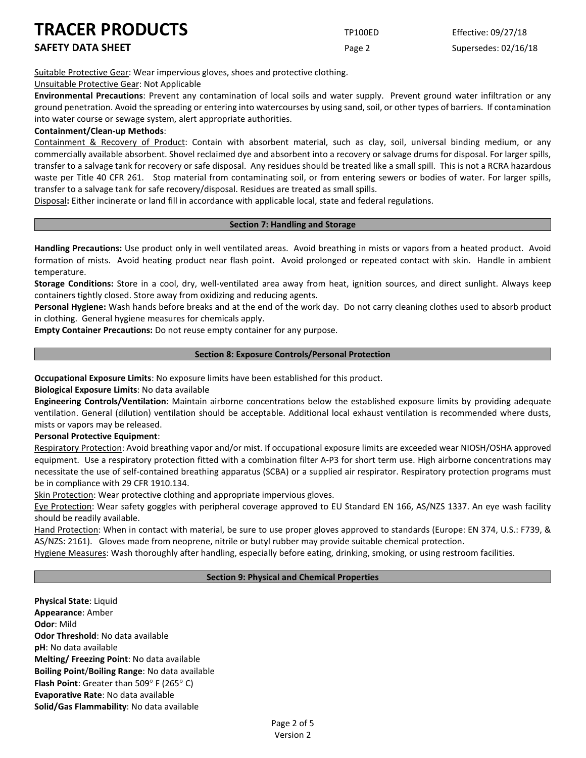## **SAFETY DATA SHEET** SUPERFOUR CONSUMING THE Page 2 Supersedes: 02/16/18

Suitable Protective Gear: Wear impervious gloves, shoes and protective clothing.

## Unsuitable Protective Gear: Not Applicable

**Environmental Precautions**: Prevent any contamination of local soils and water supply. Prevent ground water infiltration or any ground penetration. Avoid the spreading or entering into watercourses by using sand, soil, or other types of barriers. If contamination into water course or sewage system, alert appropriate authorities.

## **Containment/Clean-up Methods**:

Containment & Recovery of Product: Contain with absorbent material, such as clay, soil, universal binding medium, or any commercially available absorbent. Shovel reclaimed dye and absorbent into a recovery or salvage drums for disposal. For larger spills, transfer to a salvage tank for recovery or safe disposal. Any residues should be treated like a small spill. This is not a RCRA hazardous waste per Title 40 CFR 261. Stop material from contaminating soil, or from entering sewers or bodies of water. For larger spills, transfer to a salvage tank for safe recovery/disposal. Residues are treated as small spills.

Disposal**:** Either incinerate or land fill in accordance with applicable local, state and federal regulations.

## **Section 7: Handling and Storage**

**Handling Precautions:** Use product only in well ventilated areas. Avoid breathing in mists or vapors from a heated product. Avoid formation of mists. Avoid heating product near flash point. Avoid prolonged or repeated contact with skin. Handle in ambient temperature.

**Storage Conditions:** Store in a cool, dry, well-ventilated area away from heat, ignition sources, and direct sunlight. Always keep containers tightly closed. Store away from oxidizing and reducing agents.

**Personal Hygiene:** Wash hands before breaks and at the end of the work day. Do not carry cleaning clothes used to absorb product in clothing. General hygiene measures for chemicals apply.

**Empty Container Precautions:** Do not reuse empty container for any purpose.

## **Section 8: Exposure Controls/Personal Protection**

**Occupational Exposure Limits**: No exposure limits have been established for this product.

**Biological Exposure Limits**: No data available

**Engineering Controls/Ventilation**: Maintain airborne concentrations below the established exposure limits by providing adequate ventilation. General (dilution) ventilation should be acceptable. Additional local exhaust ventilation is recommended where dusts, mists or vapors may be released.

## **Personal Protective Equipment**:

Respiratory Protection: Avoid breathing vapor and/or mist. If occupational exposure limits are exceeded wear NIOSH/OSHA approved equipment. Use a respiratory protection fitted with a combination filter A-P3 for short term use. High airborne concentrations may necessitate the use of self-contained breathing apparatus (SCBA) or a supplied air respirator. Respiratory protection programs must be in compliance with 29 CFR 1910.134.

Skin Protection: Wear protective clothing and appropriate impervious gloves.

Eye Protection: Wear safety goggles with peripheral coverage approved to EU Standard EN 166, AS/NZS 1337. An eye wash facility should be readily available.

Hand Protection: When in contact with material, be sure to use proper gloves approved to standards (Europe: EN 374, U.S.: F739, & AS/NZS: 2161). Gloves made from neoprene, nitrile or butyl rubber may provide suitable chemical protection.

Hygiene Measures: Wash thoroughly after handling, especially before eating, drinking, smoking, or using restroom facilities.

## **Section 9: Physical and Chemical Properties**

**Physical State**: Liquid **Appearance**: Amber **Odor**: Mild **Odor Threshold**: No data available **pH**: No data available **Melting/ Freezing Point**: No data available **Boiling Point**/**Boiling Range**: No data available **Flash Point**: Greater than 509° F (265° C) **Evaporative Rate**: No data available **Solid/Gas Flammability**: No data available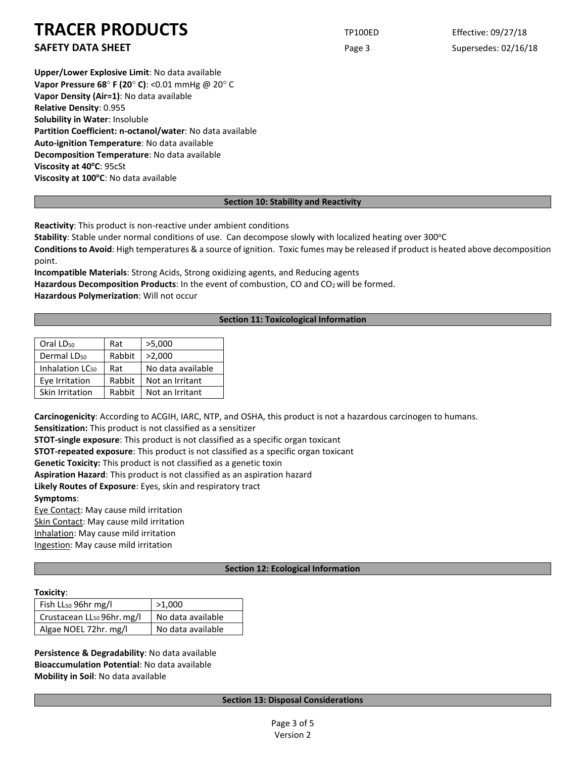**SAFETY DATA SHEET** SUPERFOUR CONSUMING THE Page 3 Supersedes: 02/16/18

**Upper/Lower Explosive Limit**: No data available **Vapor Pressure 68**° **F (20**° **C)**: <0.01 mmHg @ 20° C **Vapor Density (Air=1)**: No data available **Relative Density**: 0.955 **Solubility in Water**: Insoluble **Partition Coefficient: n-octanol/water**: No data available **Auto-ignition Temperature**: No data available **Decomposition Temperature**: No data available **Viscosity at 40°C: 95cSt Viscosity at 100°C**: No data available

## **Section 10: Stability and Reactivity**

**Reactivity**: This product is non-reactive under ambient conditions

Stability: Stable under normal conditions of use. Can decompose slowly with localized heating over 300°C

**Conditions to Avoid**: High temperatures & a source of ignition. Toxic fumes may be released if product is heated above decomposition point.

**Incompatible Materials**: Strong Acids, Strong oxidizing agents, and Reducing agents Hazardous Decomposition Products: In the event of combustion, CO and CO<sub>2</sub> will be formed. **Hazardous Polymerization**: Will not occur

## **Section 11: Toxicological Information**

| Oral LD <sub>50</sub>       | Rat    | >5,000            |  |
|-----------------------------|--------|-------------------|--|
| Dermal LD <sub>50</sub>     | Rabbit | >2,000            |  |
| Inhalation LC <sub>50</sub> | Rat    | No data available |  |
| Eye Irritation              | Rabbit | Not an Irritant   |  |
| Skin Irritation             | Rabbit | Not an Irritant   |  |

**Carcinogenicity**: According to ACGIH, IARC, NTP, and OSHA, this product is not a hazardous carcinogen to humans.

**Sensitization:** This product is not classified as a sensitizer

**STOT-single exposure**: This product is not classified as a specific organ toxicant

**STOT-repeated exposure**: This product is not classified as a specific organ toxicant

**Genetic Toxicity:** This product is not classified as a genetic toxin

**Aspiration Hazard**: This product is not classified as an aspiration hazard

**Likely Routes of Exposure**: Eyes, skin and respiratory tract

**Symptoms**:

Eye Contact: May cause mild irritation Skin Contact: May cause mild irritation Inhalation: May cause mild irritation

Ingestion: May cause mild irritation

## **Section 12: Ecological Information**

### **Toxicity**:

| Fish $LL_{50}$ 96hr mg/l               | >1.000            |  |
|----------------------------------------|-------------------|--|
| Crustacean LL <sub>50</sub> 96hr. mg/l | No data available |  |
| Algae NOEL 72hr. mg/l                  | No data available |  |

**Persistence & Degradability**: No data available **Bioaccumulation Potential**: No data available **Mobility in Soil**: No data available

## **Section 13: Disposal Considerations**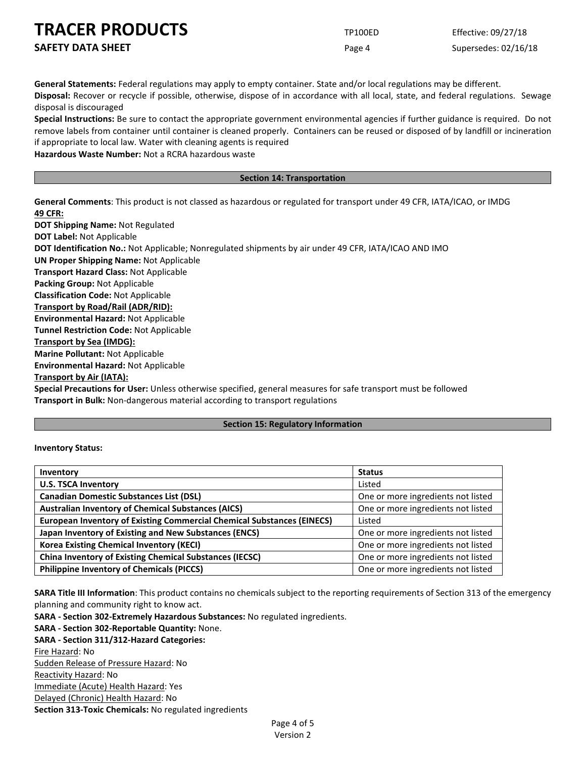**SAFETY DATA SHEET** SUPERFOUR Page 4 Supersedes: 02/16/18

**General Statements:** Federal regulations may apply to empty container. State and/or local regulations may be different. **Disposal:** Recover or recycle if possible, otherwise, dispose of in accordance with all local, state, and federal regulations. Sewage disposal is discouraged

**Special Instructions:** Be sure to contact the appropriate government environmental agencies if further guidance is required. Do not remove labels from container until container is cleaned properly. Containers can be reused or disposed of by landfill or incineration if appropriate to local law. Water with cleaning agents is required

**Hazardous Waste Number:** Not a RCRA hazardous waste

### **Section 14: Transportation**

**General Comments**: This product is not classed as hazardous or regulated for transport under 49 CFR, IATA/ICAO, or IMDG **49 CFR:**

**DOT Shipping Name:** Not Regulated **DOT Label:** Not Applicable **DOT Identification No.:** Not Applicable; Nonregulated shipments by air under 49 CFR, IATA/ICAO AND IMO **UN Proper Shipping Name:** Not Applicable **Transport Hazard Class:** Not Applicable **Packing Group:** Not Applicable **Classification Code:** Not Applicable **Transport by Road/Rail (ADR/RID): Environmental Hazard:** Not Applicable **Tunnel Restriction Code:** Not Applicable **Transport by Sea (IMDG): Marine Pollutant:** Not Applicable **Environmental Hazard:** Not Applicable **Transport by Air (IATA):**

**Special Precautions for User:** Unless otherwise specified, general measures for safe transport must be followed **Transport in Bulk:** Non-dangerous material according to transport regulations

## **Section 15: Regulatory Information**

### **Inventory Status:**

| Inventory                                                                     | <b>Status</b>                      |
|-------------------------------------------------------------------------------|------------------------------------|
| <b>U.S. TSCA Inventory</b>                                                    | Listed                             |
| <b>Canadian Domestic Substances List (DSL)</b>                                | One or more ingredients not listed |
| <b>Australian Inventory of Chemical Substances (AICS)</b>                     | One or more ingredients not listed |
| <b>European Inventory of Existing Commercial Chemical Substances (EINECS)</b> | Listed                             |
| Japan Inventory of Existing and New Substances (ENCS)                         | One or more ingredients not listed |
| <b>Korea Existing Chemical Inventory (KECI)</b>                               | One or more ingredients not listed |
| <b>China Inventory of Existing Chemical Substances (IECSC)</b>                | One or more ingredients not listed |
| <b>Philippine Inventory of Chemicals (PICCS)</b>                              | One or more ingredients not listed |

**SARA Title III Information**: This product contains no chemicals subject to the reporting requirements of Section 313 of the emergency planning and community right to know act.

**SARA - Section 302-Extremely Hazardous Substances:** No regulated ingredients.

**SARA - Section 302-Reportable Quantity:** None.

## **SARA - Section 311/312-Hazard Categories:**

Fire Hazard: No Sudden Release of Pressure Hazard: No Reactivity Hazard: No Immediate (Acute) Health Hazard: Yes Delayed (Chronic) Health Hazard: No **Section 313-Toxic Chemicals:** No regulated ingredients